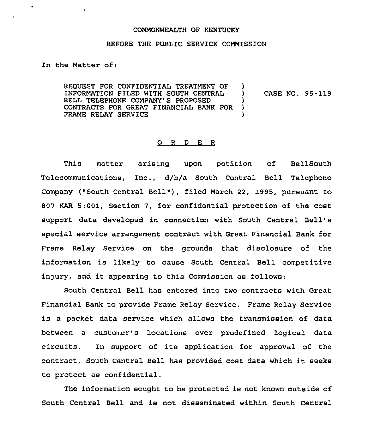## COMMONWEALTH OF KENTUCKY

## BEFORE THE PUBLIC SERVICE COMMISSION

In the Matter of:

REQUEST FOR CONFIDENTIAL TREATMENT OF INFORMATION FILED WITH SOUTH CENTRAL BELL TELEPHONE COMPANY'S PROPOSED CONTRACTS FOR GREAT FINANCIAL BANK FOR FRAME RELAY SERVICE  $\big\}$ ) CASE NO. 95-119 )  $\lambda$ )

## 0 <sup>R</sup> <sup>D</sup> E R

This matter arising upon petition of BellSouth Telecommunications, Inc., d/b/a South Central Bell Telephone Company ("South Central Bell" ), filed March 22, 1995, pursuant to 807 KAR 5:001, Section 7, for confidential protection of the cost support data developed in connection with South Central Bell' special service arrangement contract with Great Financial Bank for Frame Relay Service on the grounds that disclosure of the information is likely to cause South Central Bell competitive injury, and it appearing to this Commission as follows:

South Central Bell has entered into two contracts with Great Financial Bank to provide Frame Relay Service. Frame Relay Service is <sup>a</sup> packet data service which allows the transmission of data between a customer's locations over predefined logical data circuits. In support of its application for approval of the contract, South central Bell has provided cost data which it seeks to protect as confidential.

The information sought to be protected is not known outside of South Central Bell and is not disseminated within South Central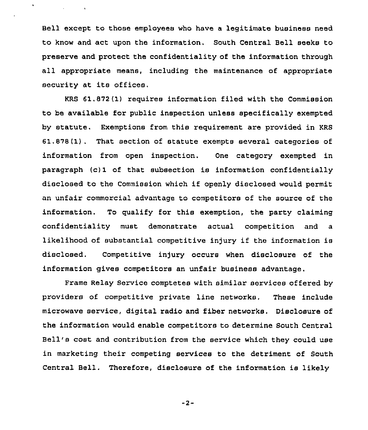Bell except to those employees who have a legitimate business need to know and act upon the information. South Central Bell seeks to preserve and protect the confidentiality of the information through all appropriate means, including the maintenance of appropriate security at its offices.

All Control At

KRS 61.872(1) requires information filed with the Commission to be available for public inspection unless specifically exempted by statute, Exemptions from this requirement are provided in KRS  $61.878(1)$ . That section of statute exempts several categories of information from open inspection. One category exempted in paragraph (c)1 of that subsection is information confidentially disclosed to the Commission which if openly disclosed would permit an unfair commercial advantage to competitors of the source of the information. To qualify for this exemption, the party claiming confidentiality must demonstrate actual competition and a likelihood of substantial competitive injury if the information is disclosed. Competitive injury occurs when disclosure of the information gives competitors an unfair business advantage.

Frame Relay Service comptetes with similar services offered by providers of competitive private line networks, These include microwave service, digital radio and fiber networks. Disclosure of the information would enable competitors to determine South Central Bell's cost and contribution from the service which they could use in marketing their competing services to the detriment of South Central Bell. Therefore, disclosure of the information is likely

 $-2-$